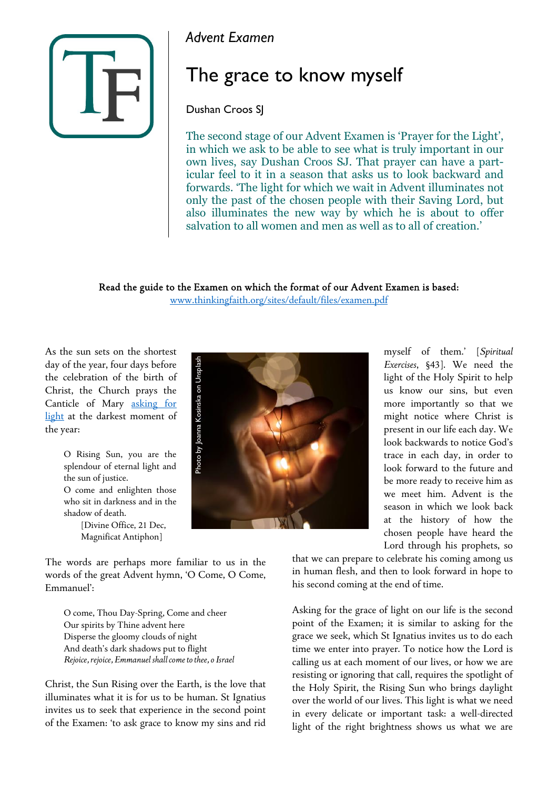

*Advent Examen*

## The grace to know myself

## Dushan Croos SJ

The second stage of our Advent Examen is 'Prayer for the Light', in which we ask to be able to see what is truly important in our own lives, say Dushan Croos SJ. That prayer can have a particular feel to it in a season that asks us to look backward and forwards. 'The light for which we wait in Advent illuminates not only the past of the chosen people with their Saving Lord, but also illuminates the new way by which he is about to offer salvation to all women and men as well as to all of creation.'

Read the guide to the Examen on which the format of our Advent Examen is based:

[www.thinkingfaith.org/sites/default/files/examen.pdf](http://www.thinkingfaith.org/sites/default/files/examen.pdf)

As the sun sets on the shortest day of the year, four days before the celebration of the birth of Christ, the Church prays the Canticle of Mary asking for light at the darkest moment of the year:

> O Rising Sun, you are the splendour of eternal light and the sun of justice. O come and enlighten those

> who sit in darkness and in the shadow of death.

> > [Divine Office, 21 Dec, Magnificat Antiphon]

The words are perhaps more familiar to us in the words of the great Advent hymn, 'O Come, O Come, Emmanuel':

O come, Thou Day-Spring, Come and cheer Our spirits by Thine advent here Disperse the gloomy clouds of night And death's dark shadows put to flight *Rejoice, rejoice, Emmanuel shall come to thee, o Israel*

Christ, the Sun Rising over the Earth, is the love that illuminates what it is for us to be human. St Ignatius invites us to seek that experience in the second point of the Examen: 'to ask grace to know my sins and rid



myself of them.' [*Spiritual Exercises*, §43]. We need the light of the Holy Spirit to help us know our sins, but even more importantly so that we might notice where Christ is present in our life each day. We look backwards to notice God's trace in each day, in order to look forward to the future and be more ready to receive him as we meet him. Advent is the season in which we look back at the history of how the chosen people have heard the Lord through his prophets, so

that we can prepare to celebrate his coming among us in human flesh, and then to look forward in hope to his second coming at the end of time.

Asking for the grace of light on our life is the second point of the Examen; it is similar to asking for the grace we seek, which St Ignatius invites us to do each time we enter into prayer. To notice how the Lord is calling us at each moment of our lives, or how we are resisting or ignoring that call, requires the spotlight of the Holy Spirit, the Rising Sun who brings daylight over the world of our lives. This light is what we need in every delicate or important task: a well-directed light of the right brightness shows us what we are